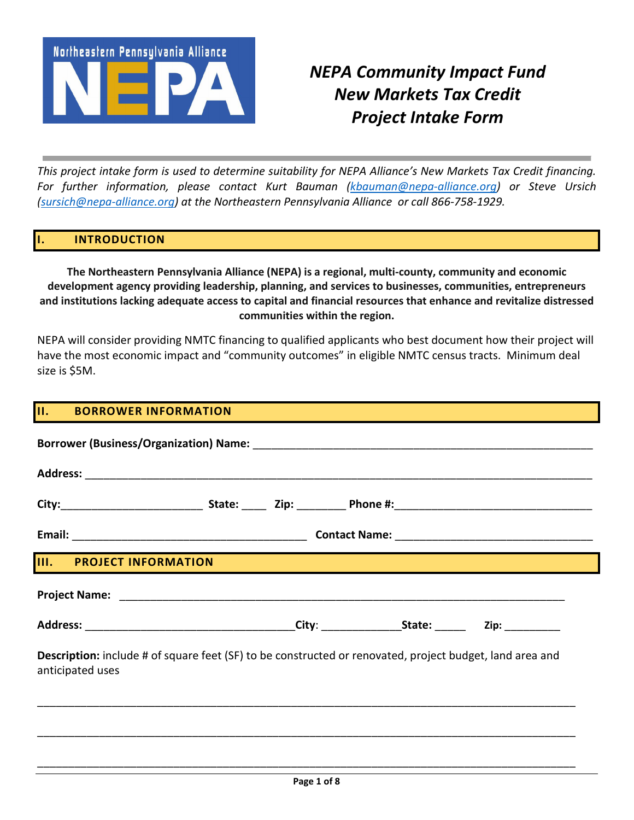

# *NEPA Community Impact Fund New Markets Tax Credit Project Intake Form*

*This project intake form is used to determine suitability for NEPA Alliance's New Markets Tax Credit financing. For further information, please contact Kurt Bauman [\(kbauman@nepa-alliance.org\)](mailto:kbauman@nepa-alliance.org) or Steve Ursich [\(sursich@nepa-alliance.org\)](mailto:sursich@nepa-alliance.org) at the Northeastern Pennsylvania Alliance or call 866-758-1929.* 

## **I. INTRODUCTION**

**The Northeastern Pennsylvania Alliance (NEPA) is a regional, multi-county, community and economic development agency providing leadership, planning, and services to businesses, communities, entrepreneurs and institutions lacking adequate access to capital and financial resources that enhance and revitalize distressed communities within the region.**

NEPA will consider providing NMTC financing to qualified applicants who best document how their project will have the most economic impact and "community outcomes" in eligible NMTC census tracts. Minimum deal size is \$5M.

#### **II. BORROWER INFORMATION**

| III. PROJECT INFORMATION                                                                                                            |  |  |
|-------------------------------------------------------------------------------------------------------------------------------------|--|--|
|                                                                                                                                     |  |  |
|                                                                                                                                     |  |  |
| <b>Description:</b> include # of square feet (SF) to be constructed or renovated, project budget, land area and<br>anticipated uses |  |  |
|                                                                                                                                     |  |  |
|                                                                                                                                     |  |  |

\_\_\_\_\_\_\_\_\_\_\_\_\_\_\_\_\_\_\_\_\_\_\_\_\_\_\_\_\_\_\_\_\_\_\_\_\_\_\_\_\_\_\_\_\_\_\_\_\_\_\_\_\_\_\_\_\_\_\_\_\_\_\_\_\_\_\_\_\_\_\_\_\_\_\_\_\_\_\_\_\_\_\_\_\_\_\_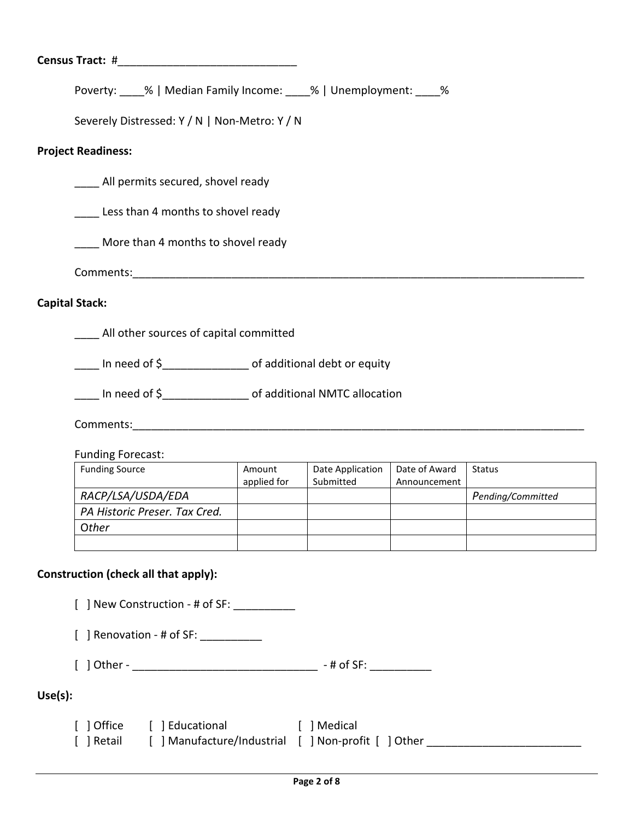Poverty: % | Median Family Income: % | Unemployment: %

Severely Distressed: Y / N | Non-Metro: Y / N

### **Project Readiness:**

All permits secured, shovel ready

Less than 4 months to shovel ready

\_\_\_\_ More than 4 months to shovel ready

Comments:\_\_\_\_\_\_\_\_\_\_\_\_\_\_\_\_\_\_\_\_\_\_\_\_\_\_\_\_\_\_\_\_\_\_\_\_\_\_\_\_\_\_\_\_\_\_\_\_\_\_\_\_\_\_\_\_\_\_\_\_\_\_\_\_\_\_\_\_\_\_\_\_\_

## **Capital Stack:**

**\_\_\_\_\_** All other sources of capital committed

\_\_\_\_ In need of \$\_\_\_\_\_\_\_\_\_\_\_\_\_\_ of additional debt or equity

In need of  $\oint$  of additional NMTC allocation

Comments:\_\_\_\_\_\_\_\_\_\_\_\_\_\_\_\_\_\_\_\_\_\_\_\_\_\_\_\_\_\_\_\_\_\_\_\_\_\_\_\_\_\_\_\_\_\_\_\_\_\_\_\_\_\_\_\_\_\_\_\_\_\_\_\_\_\_\_\_\_\_\_\_\_

Funding Forecast:

| <b>Funding Source</b>         | Amount      | Date Application | Date of Award | <b>Status</b>     |
|-------------------------------|-------------|------------------|---------------|-------------------|
|                               | applied for | Submitted        | Announcement  |                   |
| RACP/LSA/USDA/EDA             |             |                  |               | Pending/Committed |
| PA Historic Preser. Tax Cred. |             |                  |               |                   |
| Other                         |             |                  |               |                   |
|                               |             |                  |               |                   |

#### **Construction (check all that apply):**

 $\lceil$  ] New Construction - # of SF:

[ ] Renovation - # of SF: \_\_\_\_\_\_\_\_\_\_\_

[ ] Other - \_\_\_\_\_\_\_\_\_\_\_\_\_\_\_\_\_\_\_\_\_\_\_\_\_\_\_\_\_\_ - # of SF: \_\_\_\_\_\_\_\_\_\_

# **Use(s):**

| [ ] Office | [ ] Educational                                 | Medical |
|------------|-------------------------------------------------|---------|
| [ ] Retail | Manufacture/Industrial     Non-profit     Other |         |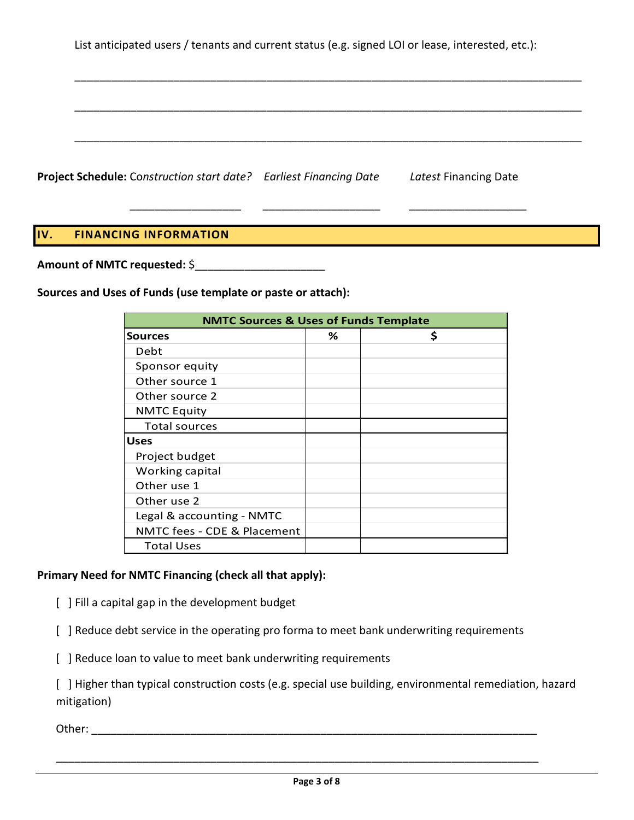List anticipated users / tenants and current status (e.g. signed LOI or lease, interested, etc.):

\_\_\_\_\_\_\_\_\_\_\_\_\_\_\_\_\_\_\_\_\_\_\_\_\_\_\_\_\_\_\_\_\_\_\_\_\_\_\_\_\_\_\_\_\_\_\_\_\_\_\_\_\_\_\_\_\_\_\_\_\_\_\_\_\_\_\_\_\_\_\_\_\_\_\_\_\_\_\_\_\_\_

\_\_\_\_\_\_\_\_\_\_\_\_\_\_\_\_\_\_\_\_\_\_\_\_\_\_\_\_\_\_\_\_\_\_\_\_\_\_\_\_\_\_\_\_\_\_\_\_\_\_\_\_\_\_\_\_\_\_\_\_\_\_\_\_\_\_\_\_\_\_\_\_\_\_\_\_\_\_\_\_\_\_

\_\_\_\_\_\_\_\_\_\_\_\_\_\_\_\_\_\_\_\_\_\_\_\_\_\_\_\_\_\_\_\_\_\_\_\_\_\_\_\_\_\_\_\_\_\_\_\_\_\_\_\_\_\_\_\_\_\_\_\_\_\_\_\_\_\_\_\_\_\_\_\_\_\_\_\_\_\_\_\_\_\_

*\_\_\_\_\_\_\_\_\_\_\_\_\_\_\_\_\_\_ \_\_\_\_\_\_\_\_\_\_\_\_\_\_\_\_\_\_\_ \_\_\_\_\_\_\_\_\_\_\_\_\_\_\_\_\_\_\_*

**Project Schedule:** Co*nstruction start date? Earliest Financing Date Latest* Financing Date

# **IV. FINANCING INFORMATION**

**Amount of NMTC requested:** \$\_\_\_\_\_\_\_\_\_\_\_\_\_\_\_\_\_\_\_\_\_

**Sources and Uses of Funds (use template or paste or attach):**

| <b>NMTC Sources &amp; Uses of Funds Template</b> |   |    |
|--------------------------------------------------|---|----|
| <b>Sources</b>                                   | % | \$ |
| Debt                                             |   |    |
| Sponsor equity                                   |   |    |
| Other source 1                                   |   |    |
| Other source 2                                   |   |    |
| <b>NMTC Equity</b>                               |   |    |
| <b>Total sources</b>                             |   |    |
| <b>Uses</b>                                      |   |    |
| Project budget                                   |   |    |
| Working capital                                  |   |    |
| Other use 1                                      |   |    |
| Other use 2                                      |   |    |
| Legal & accounting - NMTC                        |   |    |
| NMTC fees - CDE & Placement                      |   |    |
| <b>Total Uses</b>                                |   |    |

## **Primary Need for NMTC Financing (check all that apply):**

[ ] Fill a capital gap in the development budget

[ ] Reduce debt service in the operating pro forma to meet bank underwriting requirements

[ ] Reduce loan to value to meet bank underwriting requirements

[ ] Higher than typical construction costs (e.g. special use building, environmental remediation, hazard mitigation)

Other: \_\_\_\_\_\_\_\_\_\_\_\_\_\_\_\_\_\_\_\_\_\_\_\_\_\_\_\_\_\_\_\_\_\_\_\_\_\_\_\_\_\_\_\_\_\_\_\_\_\_\_\_\_\_\_\_\_\_\_\_\_\_\_\_\_\_\_\_\_\_\_\_

\_\_\_\_\_\_\_\_\_\_\_\_\_\_\_\_\_\_\_\_\_\_\_\_\_\_\_\_\_\_\_\_\_\_\_\_\_\_\_\_\_\_\_\_\_\_\_\_\_\_\_\_\_\_\_\_\_\_\_\_\_\_\_\_\_\_\_\_\_\_\_\_\_\_\_\_\_\_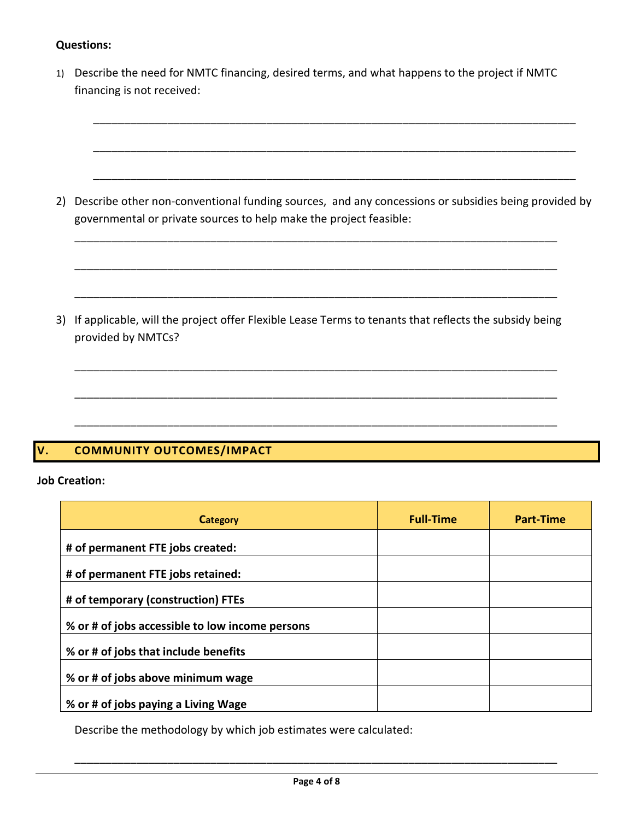## **Questions:**

| 1) Describe the need for NMTC financing, desired terms, and what happens to the project if NMTC |
|-------------------------------------------------------------------------------------------------|
| financing is not received:                                                                      |

| 2) Describe other non-conventional funding sources, and any concessions or subsidies being provided by |  |
|--------------------------------------------------------------------------------------------------------|--|
| governmental or private sources to help make the project feasible:                                     |  |

\_\_\_\_\_\_\_\_\_\_\_\_\_\_\_\_\_\_\_\_\_\_\_\_\_\_\_\_\_\_\_\_\_\_\_\_\_\_\_\_\_\_\_\_\_\_\_\_\_\_\_\_\_\_\_\_\_\_\_\_\_\_\_\_\_\_\_\_\_\_\_\_\_\_\_\_\_\_

\_\_\_\_\_\_\_\_\_\_\_\_\_\_\_\_\_\_\_\_\_\_\_\_\_\_\_\_\_\_\_\_\_\_\_\_\_\_\_\_\_\_\_\_\_\_\_\_\_\_\_\_\_\_\_\_\_\_\_\_\_\_\_\_\_\_\_\_\_\_\_\_\_\_\_\_\_\_

\_\_\_\_\_\_\_\_\_\_\_\_\_\_\_\_\_\_\_\_\_\_\_\_\_\_\_\_\_\_\_\_\_\_\_\_\_\_\_\_\_\_\_\_\_\_\_\_\_\_\_\_\_\_\_\_\_\_\_\_\_\_\_\_\_\_\_\_\_\_\_\_\_\_\_\_\_\_

\_\_\_\_\_\_\_\_\_\_\_\_\_\_\_\_\_\_\_\_\_\_\_\_\_\_\_\_\_\_\_\_\_\_\_\_\_\_\_\_\_\_\_\_\_\_\_\_\_\_\_\_\_\_\_\_\_\_\_\_\_\_\_\_\_\_\_\_\_\_\_\_\_\_\_\_\_\_

\_\_\_\_\_\_\_\_\_\_\_\_\_\_\_\_\_\_\_\_\_\_\_\_\_\_\_\_\_\_\_\_\_\_\_\_\_\_\_\_\_\_\_\_\_\_\_\_\_\_\_\_\_\_\_\_\_\_\_\_\_\_\_\_\_\_\_\_\_\_\_\_\_\_\_\_\_\_

\_\_\_\_\_\_\_\_\_\_\_\_\_\_\_\_\_\_\_\_\_\_\_\_\_\_\_\_\_\_\_\_\_\_\_\_\_\_\_\_\_\_\_\_\_\_\_\_\_\_\_\_\_\_\_\_\_\_\_\_\_\_\_\_\_\_\_\_\_\_\_\_\_\_\_\_\_\_

3) If applicable, will the project offer Flexible Lease Terms to tenants that reflects the subsidy being provided by NMTCs?

\_\_\_\_\_\_\_\_\_\_\_\_\_\_\_\_\_\_\_\_\_\_\_\_\_\_\_\_\_\_\_\_\_\_\_\_\_\_\_\_\_\_\_\_\_\_\_\_\_\_\_\_\_\_\_\_\_\_\_\_\_\_\_\_\_\_\_\_\_\_\_\_\_\_\_\_\_\_

\_\_\_\_\_\_\_\_\_\_\_\_\_\_\_\_\_\_\_\_\_\_\_\_\_\_\_\_\_\_\_\_\_\_\_\_\_\_\_\_\_\_\_\_\_\_\_\_\_\_\_\_\_\_\_\_\_\_\_\_\_\_\_\_\_\_\_\_\_\_\_\_\_\_\_\_\_\_

\_\_\_\_\_\_\_\_\_\_\_\_\_\_\_\_\_\_\_\_\_\_\_\_\_\_\_\_\_\_\_\_\_\_\_\_\_\_\_\_\_\_\_\_\_\_\_\_\_\_\_\_\_\_\_\_\_\_\_\_\_\_\_\_\_\_\_\_\_\_\_\_\_\_\_\_\_\_

# **V. COMMUNITY OUTCOMES/IMPACT**

## **Job Creation:**

| <b>Category</b>                                 | <b>Full-Time</b> | <b>Part-Time</b> |
|-------------------------------------------------|------------------|------------------|
| # of permanent FTE jobs created:                |                  |                  |
| # of permanent FTE jobs retained:               |                  |                  |
| # of temporary (construction) FTEs              |                  |                  |
| % or # of jobs accessible to low income persons |                  |                  |
| % or # of jobs that include benefits            |                  |                  |
| % or # of jobs above minimum wage               |                  |                  |
| % or # of jobs paying a Living Wage             |                  |                  |

Describe the methodology by which job estimates were calculated:

\_\_\_\_\_\_\_\_\_\_\_\_\_\_\_\_\_\_\_\_\_\_\_\_\_\_\_\_\_\_\_\_\_\_\_\_\_\_\_\_\_\_\_\_\_\_\_\_\_\_\_\_\_\_\_\_\_\_\_\_\_\_\_\_\_\_\_\_\_\_\_\_\_\_\_\_\_\_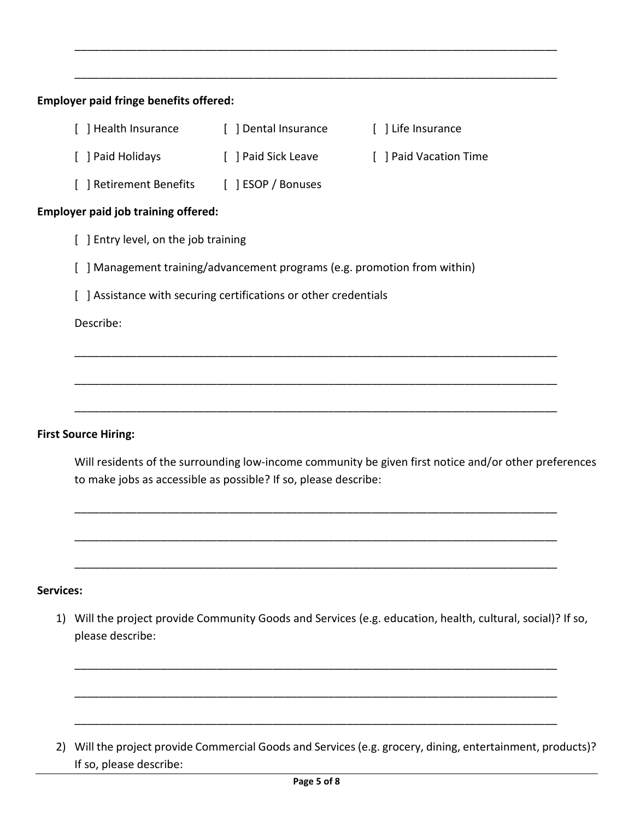| [ ] Paid Sick Leave<br>[ ] Paid Holidays                                                                                                                                                                                            | [ ] Paid Vacation Time |
|-------------------------------------------------------------------------------------------------------------------------------------------------------------------------------------------------------------------------------------|------------------------|
| [ ] Retirement Benefits [ ] ESOP / Bonuses                                                                                                                                                                                          |                        |
| <b>Employer paid job training offered:</b><br>[ ] Entry level, on the job training<br>[ ] Management training/advancement programs (e.g. promotion from within)<br>[ ] Assistance with securing certifications or other credentials |                        |
|                                                                                                                                                                                                                                     |                        |
|                                                                                                                                                                                                                                     |                        |
|                                                                                                                                                                                                                                     |                        |
|                                                                                                                                                                                                                                     |                        |
| Describe:                                                                                                                                                                                                                           |                        |
|                                                                                                                                                                                                                                     |                        |

\_\_\_\_\_\_\_\_\_\_\_\_\_\_\_\_\_\_\_\_\_\_\_\_\_\_\_\_\_\_\_\_\_\_\_\_\_\_\_\_\_\_\_\_\_\_\_\_\_\_\_\_\_\_\_\_\_\_\_\_\_\_\_\_\_\_\_\_\_\_\_\_\_\_\_\_\_\_

#### **First Source Hiring:**

Will residents of the surrounding low-income community be given first notice and/or other preferences to make jobs as accessible as possible? If so, please describe:

\_\_\_\_\_\_\_\_\_\_\_\_\_\_\_\_\_\_\_\_\_\_\_\_\_\_\_\_\_\_\_\_\_\_\_\_\_\_\_\_\_\_\_\_\_\_\_\_\_\_\_\_\_\_\_\_\_\_\_\_\_\_\_\_\_\_\_\_\_\_\_\_\_\_\_\_\_\_

\_\_\_\_\_\_\_\_\_\_\_\_\_\_\_\_\_\_\_\_\_\_\_\_\_\_\_\_\_\_\_\_\_\_\_\_\_\_\_\_\_\_\_\_\_\_\_\_\_\_\_\_\_\_\_\_\_\_\_\_\_\_\_\_\_\_\_\_\_\_\_\_\_\_\_\_\_\_

\_\_\_\_\_\_\_\_\_\_\_\_\_\_\_\_\_\_\_\_\_\_\_\_\_\_\_\_\_\_\_\_\_\_\_\_\_\_\_\_\_\_\_\_\_\_\_\_\_\_\_\_\_\_\_\_\_\_\_\_\_\_\_\_\_\_\_\_\_\_\_\_\_\_\_\_\_\_

#### **Services:**

1) Will the project provide Community Goods and Services (e.g. education, health, cultural, social)? If so, please describe:

\_\_\_\_\_\_\_\_\_\_\_\_\_\_\_\_\_\_\_\_\_\_\_\_\_\_\_\_\_\_\_\_\_\_\_\_\_\_\_\_\_\_\_\_\_\_\_\_\_\_\_\_\_\_\_\_\_\_\_\_\_\_\_\_\_\_\_\_\_\_\_\_\_\_\_\_\_\_

\_\_\_\_\_\_\_\_\_\_\_\_\_\_\_\_\_\_\_\_\_\_\_\_\_\_\_\_\_\_\_\_\_\_\_\_\_\_\_\_\_\_\_\_\_\_\_\_\_\_\_\_\_\_\_\_\_\_\_\_\_\_\_\_\_\_\_\_\_\_\_\_\_\_\_\_\_\_

\_\_\_\_\_\_\_\_\_\_\_\_\_\_\_\_\_\_\_\_\_\_\_\_\_\_\_\_\_\_\_\_\_\_\_\_\_\_\_\_\_\_\_\_\_\_\_\_\_\_\_\_\_\_\_\_\_\_\_\_\_\_\_\_\_\_\_\_\_\_\_\_\_\_\_\_\_\_

2) Will the project provide Commercial Goods and Services (e.g. grocery, dining, entertainment, products)? If so, please describe: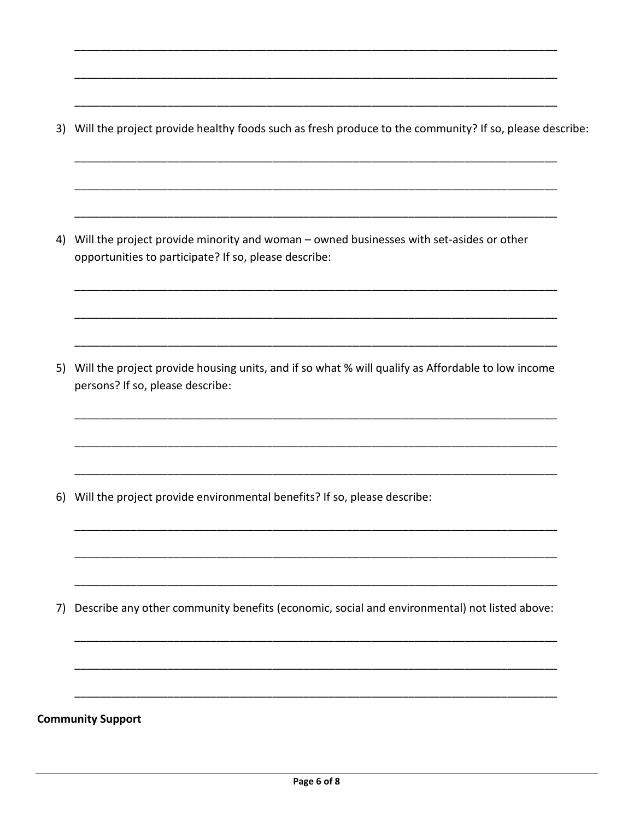3) Will the project provide healthy foods such as fresh produce to the community? If so, please describe:

4) Will the project provide minority and woman - owned businesses with set-asides or other opportunities to participate? If so, please describe:

5) Will the project provide housing units, and if so what % will qualify as Affordable to low income persons? If so, please describe:

6) Will the project provide environmental benefits? If so, please describe:

7) Describe any other community benefits (economic, social and environmental) not listed above:

#### **Community Support**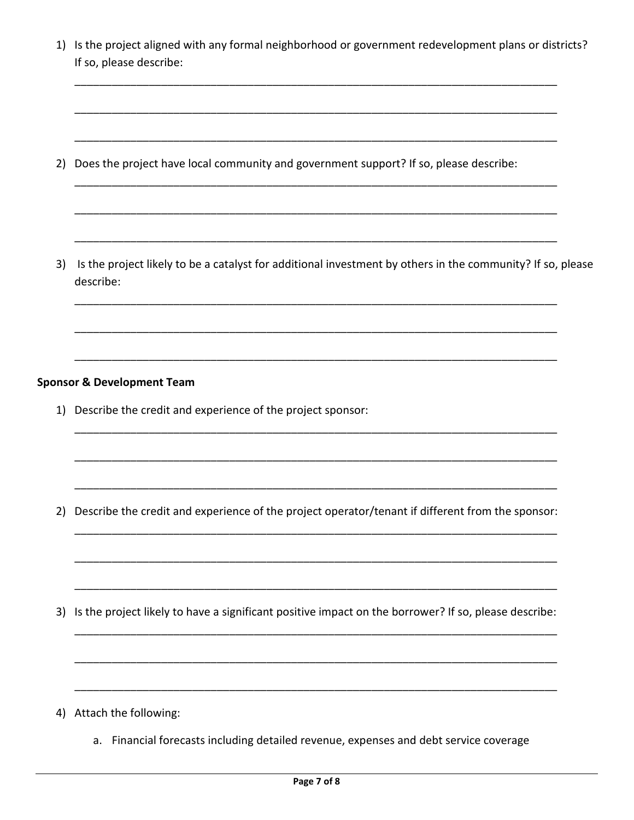1) Is the project aligned with any formal neighborhood or government redevelopment plans or districts? If so, please describe:

2) Does the project have local community and government support? If so, please describe:

3) Is the project likely to be a catalyst for additional investment by others in the community? If so, please describe:

#### **Sponsor & Development Team**

1) Describe the credit and experience of the project sponsor:

2) Describe the credit and experience of the project operator/tenant if different from the sponsor:

3) Is the project likely to have a significant positive impact on the borrower? If so, please describe:

- 4) Attach the following:
	- a. Financial forecasts including detailed revenue, expenses and debt service coverage